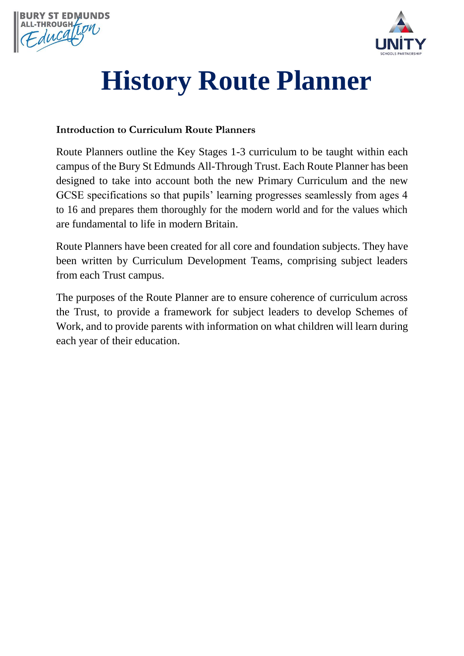



## **History Route Planner**

## **Introduction to Curriculum Route Planners**

Route Planners outline the Key Stages 1-3 curriculum to be taught within each campus of the Bury St Edmunds All-Through Trust. Each Route Planner has been designed to take into account both the new Primary Curriculum and the new GCSE specifications so that pupils' learning progresses seamlessly from ages 4 to 16 and prepares them thoroughly for the modern world and for the values which are fundamental to life in modern Britain.

Route Planners have been created for all core and foundation subjects. They have been written by Curriculum Development Teams, comprising subject leaders from each Trust campus.

The purposes of the Route Planner are to ensure coherence of curriculum across the Trust, to provide a framework for subject leaders to develop Schemes of Work, and to provide parents with information on what children will learn during each year of their education.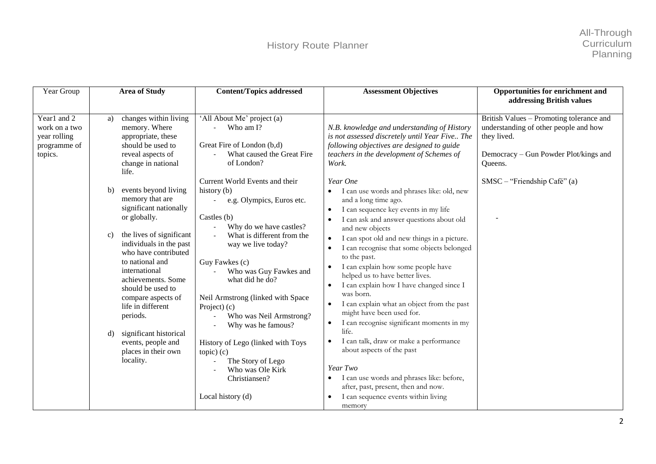| Year Group                                                              | <b>Area of Study</b>                                                                                                                                                                                                                                                                                                                                                                                                    | <b>Content/Topics addressed</b>                                                                                                                                                                                                                                                                                                                                                                                                                                                       | <b>Assessment Objectives</b>                                                                                                                                                                                                                                                                                                                                                                                                                                                                                                                                                                                                                                                                                                                                                                                                         | Opportunities for enrichment and<br>addressing British values                                                                                        |
|-------------------------------------------------------------------------|-------------------------------------------------------------------------------------------------------------------------------------------------------------------------------------------------------------------------------------------------------------------------------------------------------------------------------------------------------------------------------------------------------------------------|---------------------------------------------------------------------------------------------------------------------------------------------------------------------------------------------------------------------------------------------------------------------------------------------------------------------------------------------------------------------------------------------------------------------------------------------------------------------------------------|--------------------------------------------------------------------------------------------------------------------------------------------------------------------------------------------------------------------------------------------------------------------------------------------------------------------------------------------------------------------------------------------------------------------------------------------------------------------------------------------------------------------------------------------------------------------------------------------------------------------------------------------------------------------------------------------------------------------------------------------------------------------------------------------------------------------------------------|------------------------------------------------------------------------------------------------------------------------------------------------------|
| Year1 and 2<br>work on a two<br>year rolling<br>programme of<br>topics. | changes within living<br>a)<br>memory. Where<br>appropriate, these<br>should be used to<br>reveal aspects of<br>change in national<br>life.                                                                                                                                                                                                                                                                             | 'All About Me' project (a)<br>Who am I?<br>Great Fire of London (b,d)<br>What caused the Great Fire<br>of London?                                                                                                                                                                                                                                                                                                                                                                     | N.B. knowledge and understanding of History<br>is not assessed discretely until Year Five The<br>following objectives are designed to guide<br>teachers in the development of Schemes of<br>Work.                                                                                                                                                                                                                                                                                                                                                                                                                                                                                                                                                                                                                                    | British Values - Promoting tolerance and<br>understanding of other people and how<br>they lived.<br>Democracy – Gun Powder Plot/kings and<br>Oueens. |
|                                                                         | events beyond living<br>b)<br>memory that are<br>significant nationally<br>or globally.<br>the lives of significant<br>$\mathbf{c})$<br>individuals in the past<br>who have contributed<br>to national and<br>international<br>achievements. Some<br>should be used to<br>compare aspects of<br>life in different<br>periods.<br>significant historical<br>d)<br>events, people and<br>places in their own<br>locality. | Current World Events and their<br>history (b)<br>e.g. Olympics, Euros etc.<br>Castles $(b)$<br>Why do we have castles?<br>What is different from the<br>way we live today?<br>Guy Fawkes (c)<br>Who was Guy Fawkes and<br>what did he do?<br>Neil Armstrong (linked with Space<br>Project) (c)<br>Who was Neil Armstrong?<br>Why was he famous?<br>History of Lego (linked with Toys<br>$topic)$ $(c)$<br>The Story of Lego<br>Who was Ole Kirk<br>Christiansen?<br>Local history (d) | Year One<br>I can use words and phrases like: old, new<br>and a long time ago.<br>I can sequence key events in my life<br>I can ask and answer questions about old<br>and new objects<br>I can spot old and new things in a picture.<br>$\bullet$<br>I can recognise that some objects belonged<br>$\bullet$<br>to the past.<br>I can explain how some people have<br>helped us to have better lives.<br>I can explain how I have changed since I<br>was born.<br>I can explain what an object from the past<br>might have been used for.<br>I can recognise significant moments in my<br>life.<br>I can talk, draw or make a performance<br>$\bullet$<br>about aspects of the past<br>Year Two<br>I can use words and phrases like: before,<br>after, past, present, then and now.<br>I can sequence events within living<br>memory | $SMSC - "Friendship Café" (a)$                                                                                                                       |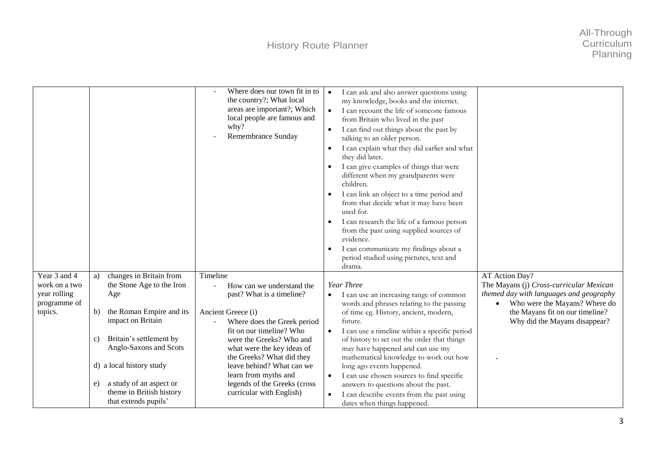|                                                                          |                                                                                                                                                                                                                                                                                                      | Where does our town fit in to<br>the country?; What local<br>areas are important?; Which<br>local people are famous and<br>why?<br>Remembrance Sunday                                                                                                                                                                                                                                   | I can ask and also answer questions using<br>$\bullet$<br>my knowledge, books and the internet.<br>I can recount the life of someone famous<br>$\bullet$<br>from Britain who lived in the past<br>I can find out things about the past by<br>$\bullet$<br>talking to an older person.<br>I can explain what they did earlier and what<br>$\bullet$<br>they did later.<br>I can give examples of things that were<br>$\bullet$<br>different when my grandparents were<br>children.<br>I can link an object to a time period and<br>from that decide what it may have been<br>used for.<br>I can research the life of a famous person<br>from the past using supplied sources of<br>evidence.<br>I can communicate my findings about a<br>$\bullet$<br>period studied using pictures, text and<br>drama. |                                                                                                                                                                                                           |
|--------------------------------------------------------------------------|------------------------------------------------------------------------------------------------------------------------------------------------------------------------------------------------------------------------------------------------------------------------------------------------------|-----------------------------------------------------------------------------------------------------------------------------------------------------------------------------------------------------------------------------------------------------------------------------------------------------------------------------------------------------------------------------------------|--------------------------------------------------------------------------------------------------------------------------------------------------------------------------------------------------------------------------------------------------------------------------------------------------------------------------------------------------------------------------------------------------------------------------------------------------------------------------------------------------------------------------------------------------------------------------------------------------------------------------------------------------------------------------------------------------------------------------------------------------------------------------------------------------------|-----------------------------------------------------------------------------------------------------------------------------------------------------------------------------------------------------------|
| Year 3 and 4<br>work on a two<br>year rolling<br>programme of<br>topics. | changes in Britain from<br>a)<br>the Stone Age to the Iron<br>Age<br>the Roman Empire and its<br>b)<br>impact on Britain<br>Britain's settlement by<br>C)<br>Anglo-Saxons and Scots<br>d) a local history study<br>a study of an aspect or<br>e)<br>theme in British history<br>that extends pupils' | Timeline<br>How can we understand the<br>$\overline{\phantom{a}}$<br>past? What is a timeline?<br>Ancient Greece (i)<br>Where does the Greek period<br>fit on our timeline? Who<br>were the Greeks? Who and<br>what were the key ideas of<br>the Greeks? What did they<br>leave behind? What can we<br>learn from myths and<br>legends of the Greeks (cross<br>curricular with English) | Year Three<br>I can use an increasing range of common<br>$\bullet$<br>words and phrases relating to the passing<br>of time eg. History, ancient, modern,<br>future.<br>I can use a timeline within a specific period<br>$\bullet$<br>of history to set out the order that things<br>may have happened and can use my<br>mathematical knowledge to work out how<br>long ago events happened.<br>I can use chosen sources to find specific<br>answers to questions about the past.<br>I can describe events from the past using<br>$\bullet$<br>dates when things happened.                                                                                                                                                                                                                              | AT Action Day?<br>The Mayans (j) Cross-curricular Mexican<br>themed day with languages and geography<br>Who were the Mayans? Where do<br>the Mayans fit on our timeline?<br>Why did the Mayans disappear? |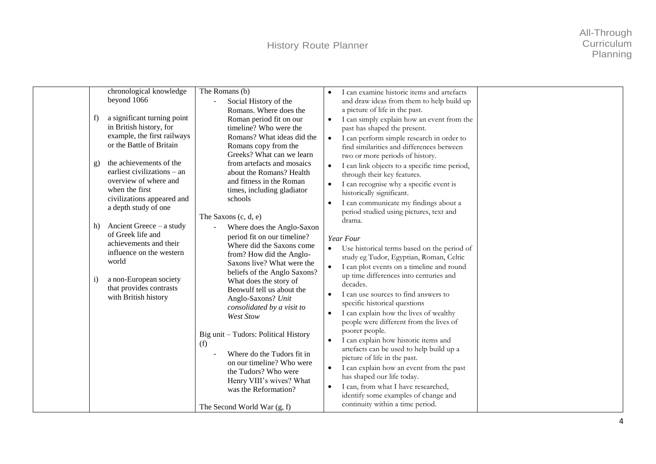| chronological knowledge<br>beyond 1066<br>a significant turning point<br>f<br>in British history, for<br>example, the first railways<br>or the Battle of Britain<br>the achievements of the<br>g)<br>earliest civilizations $-$ an<br>overview of where and<br>when the first<br>civilizations appeared and<br>a depth study of one<br>Ancient Greece $-$ a study<br>h)<br>of Greek life and<br>achievements and their<br>influence on the western<br>world<br>a non-European society<br>i)<br>that provides contrasts<br>with British history | The Romans (b)<br>Social History of the<br>Romans. Where does the<br>Roman period fit on our<br>timeline? Who were the<br>Romans? What ideas did the<br>Romans copy from the<br>Greeks? What can we learn<br>from artefacts and mosaics<br>about the Romans? Health<br>and fitness in the Roman<br>times, including gladiator<br>schools<br>The Saxons $(c, d, e)$<br>Where does the Anglo-Saxon<br>period fit on our timeline?<br>Where did the Saxons come<br>from? How did the Anglo-<br>Saxons live? What were the<br>beliefs of the Anglo Saxons?<br>What does the story of<br>Beowulf tell us about the<br>Anglo-Saxons? Unit<br>consolidated by a visit to<br>West Stow<br>Big unit - Tudors: Political History<br>(f)<br>Where do the Tudors fit in<br>on our timeline? Who were<br>the Tudors? Who were | I can examine historic items and artefacts<br>and draw ideas from them to help build up<br>a picture of life in the past.<br>I can simply explain how an event from the<br>past has shaped the present.<br>I can perform simple research in order to<br>$\bullet$<br>find similarities and differences between<br>two or more periods of history.<br>I can link objects to a specific time period,<br>$\bullet$<br>through their key features.<br>I can recognise why a specific event is<br>historically significant.<br>I can communicate my findings about a<br>period studied using pictures, text and<br>drama.<br>Year Four<br>Use historical terms based on the period of<br>study eg Tudor, Egyptian, Roman, Celtic<br>I can plot events on a timeline and round<br>$\bullet$<br>up time differences into centuries and<br>decades.<br>I can use sources to find answers to<br>specific historical questions<br>I can explain how the lives of wealthy<br>$\bullet$<br>people were different from the lives of<br>poorer people.<br>I can explain how historic items and<br>artefacts can be used to help build up a<br>picture of life in the past.<br>I can explain how an event from the past<br>$\bullet$ |  |
|------------------------------------------------------------------------------------------------------------------------------------------------------------------------------------------------------------------------------------------------------------------------------------------------------------------------------------------------------------------------------------------------------------------------------------------------------------------------------------------------------------------------------------------------|------------------------------------------------------------------------------------------------------------------------------------------------------------------------------------------------------------------------------------------------------------------------------------------------------------------------------------------------------------------------------------------------------------------------------------------------------------------------------------------------------------------------------------------------------------------------------------------------------------------------------------------------------------------------------------------------------------------------------------------------------------------------------------------------------------------|-----------------------------------------------------------------------------------------------------------------------------------------------------------------------------------------------------------------------------------------------------------------------------------------------------------------------------------------------------------------------------------------------------------------------------------------------------------------------------------------------------------------------------------------------------------------------------------------------------------------------------------------------------------------------------------------------------------------------------------------------------------------------------------------------------------------------------------------------------------------------------------------------------------------------------------------------------------------------------------------------------------------------------------------------------------------------------------------------------------------------------------------------------------------------------------------------------------------------|--|
|                                                                                                                                                                                                                                                                                                                                                                                                                                                                                                                                                | Henry VIII's wives? What<br>was the Reformation?<br>The Second World War $(g, f)$                                                                                                                                                                                                                                                                                                                                                                                                                                                                                                                                                                                                                                                                                                                                | has shaped our life today.<br>I can, from what I have researched,<br>identify some examples of change and<br>continuity within a time period.                                                                                                                                                                                                                                                                                                                                                                                                                                                                                                                                                                                                                                                                                                                                                                                                                                                                                                                                                                                                                                                                         |  |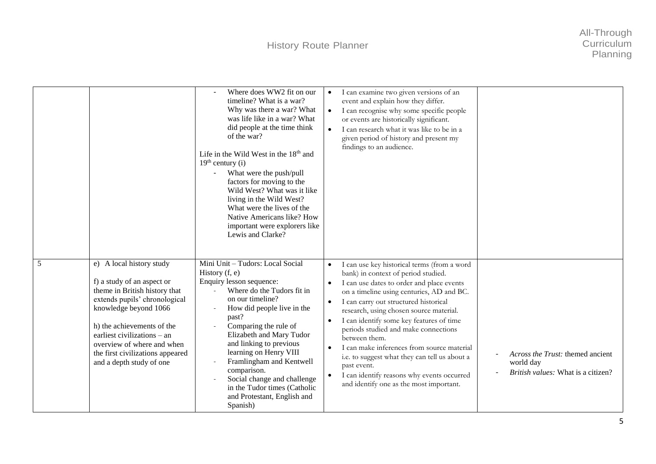|   |                                                                                                                                                                                                                                                                                                              | Where does WW2 fit on our<br>timeline? What is a war?<br>Why was there a war? What<br>was life like in a war? What<br>did people at the time think<br>of the war?<br>Life in the Wild West in the 18 <sup>th</sup> and<br>$19th$ century (i)<br>What were the push/pull<br>factors for moving to the<br>Wild West? What was it like<br>living in the Wild West?<br>What were the lives of the<br>Native Americans like? How<br>important were explorers like<br>Lewis and Clarke? | I can examine two given versions of an<br>$\bullet$<br>event and explain how they differ.<br>I can recognise why some specific people<br>$\bullet$<br>or events are historically significant.<br>I can research what it was like to be in a<br>$\bullet$<br>given period of history and present my<br>findings to an audience.                                                                                                                                                                                                                                                                                                                             |                                                                                            |
|---|--------------------------------------------------------------------------------------------------------------------------------------------------------------------------------------------------------------------------------------------------------------------------------------------------------------|-----------------------------------------------------------------------------------------------------------------------------------------------------------------------------------------------------------------------------------------------------------------------------------------------------------------------------------------------------------------------------------------------------------------------------------------------------------------------------------|------------------------------------------------------------------------------------------------------------------------------------------------------------------------------------------------------------------------------------------------------------------------------------------------------------------------------------------------------------------------------------------------------------------------------------------------------------------------------------------------------------------------------------------------------------------------------------------------------------------------------------------------------------|--------------------------------------------------------------------------------------------|
| 5 | e) A local history study<br>f) a study of an aspect or<br>theme in British history that<br>extends pupils' chronological<br>knowledge beyond 1066<br>h) the achievements of the<br>earliest civilizations - an<br>overview of where and when<br>the first civilizations appeared<br>and a depth study of one | Mini Unit - Tudors: Local Social<br>History $(f, e)$<br>Enquiry lesson sequence:<br>Where do the Tudors fit in<br>$\mathbf{r}$<br>on our timeline?<br>How did people live in the<br>past?<br>Comparing the rule of<br>Elizabeth and Mary Tudor<br>and linking to previous<br>learning on Henry VIII<br>Framlingham and Kentwell<br>comparison.<br>Social change and challenge<br>in the Tudor times (Catholic<br>and Protestant, English and<br>Spanish)                          | I can use key historical terms (from a word<br>$\bullet$<br>bank) in context of period studied.<br>I can use dates to order and place events<br>$\bullet$<br>on a timeline using centuries, AD and BC.<br>I can carry out structured historical<br>$\bullet$<br>research, using chosen source material.<br>I can identify some key features of time<br>$\bullet$<br>periods studied and make connections<br>between them.<br>I can make inferences from source material<br>$\bullet$<br>i.e. to suggest what they can tell us about a<br>past event.<br>I can identify reasons why events occurred<br>$\bullet$<br>and identify one as the most important. | Across the Trust: themed ancient<br>world day<br><i>British values:</i> What is a citizen? |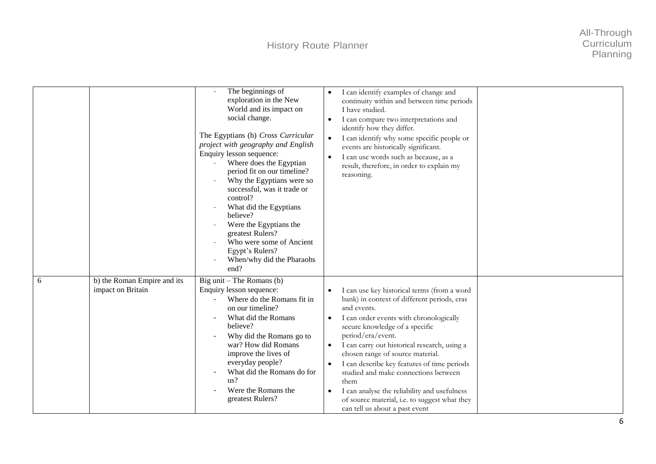|   |                                                  | The beginnings of<br>exploration in the New<br>World and its impact on<br>social change.<br>The Egyptians (h) Cross Curricular<br>project with geography and English<br>Enquiry lesson sequence:<br>Where does the Egyptian<br>period fit on our timeline?<br>Why the Egyptians were so<br>successful, was it trade or<br>control?<br>What did the Egyptians<br>believe?<br>Were the Egyptians the<br>greatest Rulers?<br>Who were some of Ancient<br>Egypt's Rulers?<br>When/why did the Pharaohs<br>end? | I can identify examples of change and<br>continuity within and between time periods<br>I have studied.<br>I can compare two interpretations and<br>$\bullet$<br>identify how they differ.<br>I can identify why some specific people or<br>$\bullet$<br>events are historically significant.<br>I can use words such as because, as a<br>$\bullet$<br>result, therefore, in order to explain my<br>reasoning.                                                                                                                                                                         |  |
|---|--------------------------------------------------|------------------------------------------------------------------------------------------------------------------------------------------------------------------------------------------------------------------------------------------------------------------------------------------------------------------------------------------------------------------------------------------------------------------------------------------------------------------------------------------------------------|---------------------------------------------------------------------------------------------------------------------------------------------------------------------------------------------------------------------------------------------------------------------------------------------------------------------------------------------------------------------------------------------------------------------------------------------------------------------------------------------------------------------------------------------------------------------------------------|--|
| 6 | b) the Roman Empire and its<br>impact on Britain | Big unit $-$ The Romans (b)<br>Enquiry lesson sequence:<br>Where do the Romans fit in<br>on our timeline?<br>What did the Romans<br>believe?<br>Why did the Romans go to<br>war? How did Romans<br>improve the lives of<br>everyday people?<br>What did the Romans do for<br>us?<br>Were the Romans the<br>greatest Rulers?                                                                                                                                                                                | I can use key historical terms (from a word<br>bank) in context of different periods, eras<br>and events.<br>I can order events with chronologically<br>$\bullet$<br>secure knowledge of a specific<br>period/era/event.<br>I can carry out historical research, using a<br>$\bullet$<br>chosen range of source material.<br>I can describe key features of time periods<br>$\bullet$<br>studied and make connections between<br>them<br>I can analyse the reliability and usefulness<br>$\bullet$<br>of source material, i.e. to suggest what they<br>can tell us about a past event |  |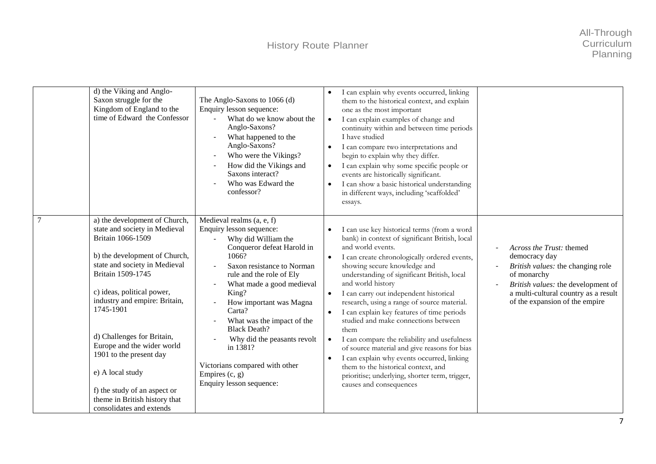| d) the Viking and Anglo-<br>Saxon struggle for the<br>Kingdom of England to the<br>time of Edward the Confessor                                                                                                                                                                                                                                                                                                                                                     | The Anglo-Saxons to 1066 (d)<br>Enquiry lesson sequence:<br>What do we know about the<br>Anglo-Saxons?<br>What happened to the<br>Anglo-Saxons?<br>Who were the Vikings?<br>How did the Vikings and<br>Saxons interact?<br>Who was Edward the<br>confessor?                                                                                                                                                                                | I can explain why events occurred, linking<br>$\bullet$<br>them to the historical context, and explain<br>one as the most important<br>I can explain examples of change and<br>$\bullet$<br>continuity within and between time periods<br>I have studied<br>I can compare two interpretations and<br>$\bullet$<br>begin to explain why they differ.<br>I can explain why some specific people or<br>$\bullet$<br>events are historically significant.<br>I can show a basic historical understanding<br>$\bullet$<br>in different ways, including 'scaffolded'<br>essays.                                                                                                                                                                                                                        |                                                                                                                                                                                                               |
|---------------------------------------------------------------------------------------------------------------------------------------------------------------------------------------------------------------------------------------------------------------------------------------------------------------------------------------------------------------------------------------------------------------------------------------------------------------------|--------------------------------------------------------------------------------------------------------------------------------------------------------------------------------------------------------------------------------------------------------------------------------------------------------------------------------------------------------------------------------------------------------------------------------------------|--------------------------------------------------------------------------------------------------------------------------------------------------------------------------------------------------------------------------------------------------------------------------------------------------------------------------------------------------------------------------------------------------------------------------------------------------------------------------------------------------------------------------------------------------------------------------------------------------------------------------------------------------------------------------------------------------------------------------------------------------------------------------------------------------|---------------------------------------------------------------------------------------------------------------------------------------------------------------------------------------------------------------|
| 7<br>a) the development of Church,<br>state and society in Medieval<br>Britain 1066-1509<br>b) the development of Church,<br>state and society in Medieval<br>Britain 1509-1745<br>c) ideas, political power,<br>industry and empire: Britain,<br>1745-1901<br>d) Challenges for Britain,<br>Europe and the wider world<br>1901 to the present day<br>e) A local study<br>f) the study of an aspect or<br>theme in British history that<br>consolidates and extends | Medieval realms (a, e, f)<br>Enquiry lesson sequence:<br>Why did William the<br>Conqueror defeat Harold in<br>1066?<br>Saxon resistance to Norman<br>rule and the role of Ely<br>What made a good medieval<br>King?<br>How important was Magna<br>Carta?<br>What was the impact of the<br><b>Black Death?</b><br>Why did the peasants revolt<br>in 1381?<br>Victorians compared with other<br>Empires $(c, g)$<br>Enquiry lesson sequence: | I can use key historical terms (from a word<br>bank) in context of significant British, local<br>and world events.<br>I can create chronologically ordered events,<br>$\bullet$<br>showing secure knowledge and<br>understanding of significant British, local<br>and world history<br>I can carry out independent historical<br>$\bullet$<br>research, using a range of source material.<br>I can explain key features of time periods<br>$\bullet$<br>studied and make connections between<br>them<br>I can compare the reliability and usefulness<br>$\bullet$<br>of source material and give reasons for bias<br>I can explain why events occurred, linking<br>$\bullet$<br>them to the historical context, and<br>prioritise; underlying, shorter term, trigger,<br>causes and consequences | Across the Trust: themed<br>democracy day<br>British values: the changing role<br>of monarchy<br>British values: the development of<br>a multi-cultural country as a result<br>of the expansion of the empire |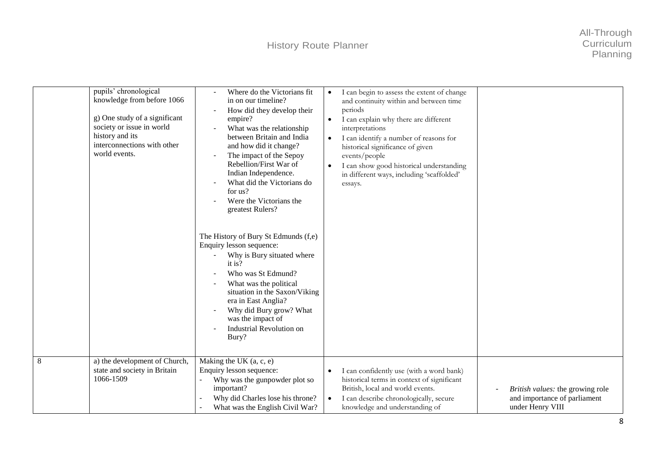|   | pupils' chronological<br>knowledge from before 1066<br>g) One study of a significant<br>society or issue in world<br>history and its<br>interconnections with other<br>world events. | Where do the Victorians fit<br>in on our timeline?<br>How did they develop their<br>empire?<br>What was the relationship<br>between Britain and India<br>and how did it change?<br>The impact of the Sepoy<br>Rebellion/First War of<br>Indian Independence.<br>What did the Victorians do<br>for us?<br>Were the Victorians the<br>greatest Rulers?<br>The History of Bury St Edmunds (f,e)<br>Enquiry lesson sequence:<br>Why is Bury situated where<br>it is?<br>Who was St Edmund?<br>What was the political<br>situation in the Saxon/Viking<br>era in East Anglia?<br>Why did Bury grow? What<br>was the impact of<br>Industrial Revolution on<br>Bury? | I can begin to assess the extent of change<br>$\bullet$<br>and continuity within and between time<br>periods<br>I can explain why there are different<br>$\bullet$<br>interpretations<br>I can identify a number of reasons for<br>$\bullet$<br>historical significance of given<br>events/people<br>I can show good historical understanding<br>$\bullet$<br>in different ways, including 'scaffolded'<br>essays. |                                                                                      |
|---|--------------------------------------------------------------------------------------------------------------------------------------------------------------------------------------|---------------------------------------------------------------------------------------------------------------------------------------------------------------------------------------------------------------------------------------------------------------------------------------------------------------------------------------------------------------------------------------------------------------------------------------------------------------------------------------------------------------------------------------------------------------------------------------------------------------------------------------------------------------|--------------------------------------------------------------------------------------------------------------------------------------------------------------------------------------------------------------------------------------------------------------------------------------------------------------------------------------------------------------------------------------------------------------------|--------------------------------------------------------------------------------------|
| 8 | a) the development of Church,<br>state and society in Britain<br>1066-1509                                                                                                           | Making the UK $(a, c, e)$<br>Enquiry lesson sequence:<br>Why was the gunpowder plot so<br>important?<br>Why did Charles lose his throne?<br>What was the English Civil War?                                                                                                                                                                                                                                                                                                                                                                                                                                                                                   | I can confidently use (with a word bank)<br>historical terms in context of significant<br>British, local and world events.<br>I can describe chronologically, secure<br>$\bullet$<br>knowledge and understanding of                                                                                                                                                                                                | British values: the growing role<br>and importance of parliament<br>under Henry VIII |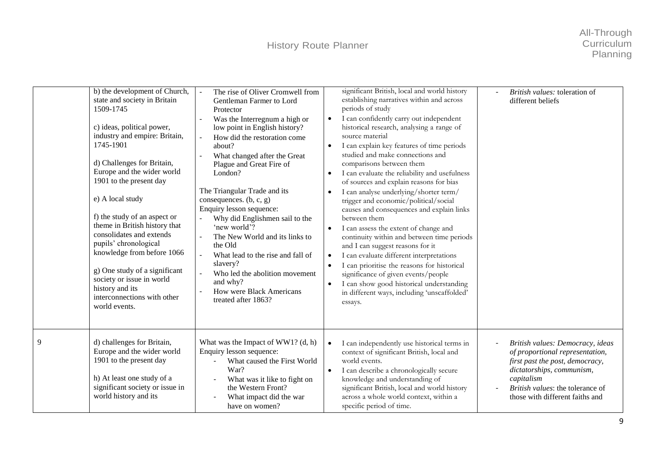## History Route Planner

|   | b) the development of Church,<br>state and society in Britain<br>1509-1745<br>c) ideas, political power,<br>industry and empire: Britain,<br>1745-1901<br>d) Challenges for Britain,<br>Europe and the wider world<br>1901 to the present day<br>e) A local study<br>f) the study of an aspect or<br>theme in British history that<br>consolidates and extends<br>pupils' chronological<br>knowledge from before 1066<br>g) One study of a significant<br>society or issue in world<br>history and its<br>interconnections with other<br>world events. | The rise of Oliver Cromwell from<br>Gentleman Farmer to Lord<br>Protector<br>Was the Interregnum a high or<br>low point in English history?<br>How did the restoration come<br>about?<br>What changed after the Great<br>Plague and Great Fire of<br>London?<br>The Triangular Trade and its<br>consequences. $(b, c, g)$<br>Enquiry lesson sequence:<br>Why did Englishmen sail to the<br>'new world'?<br>The New World and its links to<br>the Old<br>What lead to the rise and fall of<br>slavery?<br>Who led the abolition movement<br>and why?<br>How were Black Americans<br>treated after 1863? | significant British, local and world history<br>establishing narratives within and across<br>periods of study<br>I can confidently carry out independent<br>$\bullet$<br>historical research, analysing a range of<br>source material<br>I can explain key features of time periods<br>$\bullet$<br>studied and make connections and<br>comparisons between them<br>I can evaluate the reliability and usefulness<br>$\bullet$<br>of sources and explain reasons for bias<br>I can analyse underlying/shorter term/<br>$\bullet$<br>trigger and economic/political/social<br>causes and consequences and explain links<br>between them<br>I can assess the extent of change and<br>$\bullet$<br>continuity within and between time periods<br>and I can suggest reasons for it<br>I can evaluate different interpretations<br>$\bullet$<br>I can prioritise the reasons for historical<br>$\bullet$<br>significance of given events/people<br>I can show good historical understanding<br>$\bullet$<br>in different ways, including 'unscaffolded'<br>essays. | British values: toleration of<br>different beliefs                                                                                                                                                                       |
|---|--------------------------------------------------------------------------------------------------------------------------------------------------------------------------------------------------------------------------------------------------------------------------------------------------------------------------------------------------------------------------------------------------------------------------------------------------------------------------------------------------------------------------------------------------------|--------------------------------------------------------------------------------------------------------------------------------------------------------------------------------------------------------------------------------------------------------------------------------------------------------------------------------------------------------------------------------------------------------------------------------------------------------------------------------------------------------------------------------------------------------------------------------------------------------|---------------------------------------------------------------------------------------------------------------------------------------------------------------------------------------------------------------------------------------------------------------------------------------------------------------------------------------------------------------------------------------------------------------------------------------------------------------------------------------------------------------------------------------------------------------------------------------------------------------------------------------------------------------------------------------------------------------------------------------------------------------------------------------------------------------------------------------------------------------------------------------------------------------------------------------------------------------------------------------------------------------------------------------------------------------|--------------------------------------------------------------------------------------------------------------------------------------------------------------------------------------------------------------------------|
| 9 | d) challenges for Britain,<br>Europe and the wider world<br>1901 to the present day<br>h) At least one study of a<br>significant society or issue in<br>world history and its                                                                                                                                                                                                                                                                                                                                                                          | What was the Impact of WW1? $(d, h)$<br>Enquiry lesson sequence:<br>What caused the First World<br>$\overline{a}$<br>War?<br>What was it like to fight on<br>the Western Front?<br>What impact did the war<br>have on women?                                                                                                                                                                                                                                                                                                                                                                           | I can independently use historical terms in<br>context of significant British, local and<br>world events.<br>I can describe a chronologically secure<br>$\bullet$<br>knowledge and understanding of<br>significant British, local and world history<br>across a whole world context, within a<br>specific period of time.                                                                                                                                                                                                                                                                                                                                                                                                                                                                                                                                                                                                                                                                                                                                     | British values: Democracy, ideas<br>of proportional representation,<br>first past the post, democracy,<br>dictatorships, communism,<br>capitalism<br>British values: the tolerance of<br>those with different faiths and |